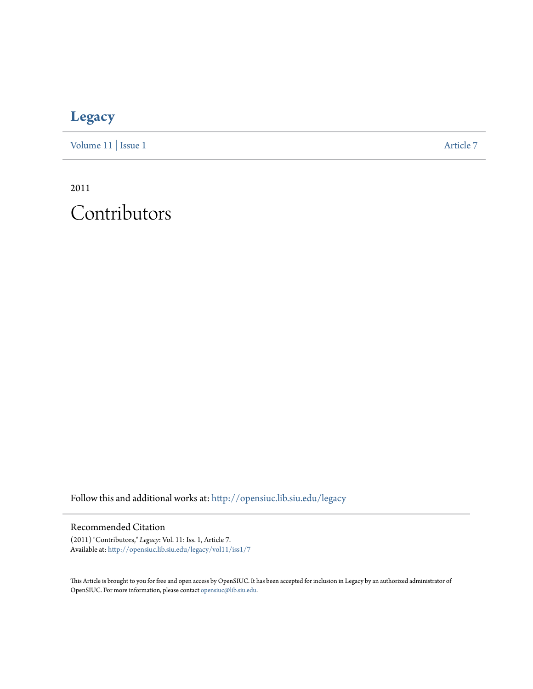## **[Legacy](http://opensiuc.lib.siu.edu/legacy?utm_source=opensiuc.lib.siu.edu%2Flegacy%2Fvol11%2Fiss1%2F7&utm_medium=PDF&utm_campaign=PDFCoverPages)**

[Volume 11](http://opensiuc.lib.siu.edu/legacy/vol11?utm_source=opensiuc.lib.siu.edu%2Flegacy%2Fvol11%2Fiss1%2F7&utm_medium=PDF&utm_campaign=PDFCoverPages) | [Issue 1](http://opensiuc.lib.siu.edu/legacy/vol11/iss1?utm_source=opensiuc.lib.siu.edu%2Flegacy%2Fvol11%2Fiss1%2F7&utm_medium=PDF&utm_campaign=PDFCoverPages) [Article 7](http://opensiuc.lib.siu.edu/legacy/vol11/iss1/7?utm_source=opensiuc.lib.siu.edu%2Flegacy%2Fvol11%2Fiss1%2F7&utm_medium=PDF&utm_campaign=PDFCoverPages)

2011 Contributors

Follow this and additional works at: [http://opensiuc.lib.siu.edu/legacy](http://opensiuc.lib.siu.edu/legacy?utm_source=opensiuc.lib.siu.edu%2Flegacy%2Fvol11%2Fiss1%2F7&utm_medium=PDF&utm_campaign=PDFCoverPages)

## Recommended Citation

(2011) "Contributors," *Legacy*: Vol. 11: Iss. 1, Article 7. Available at: [http://opensiuc.lib.siu.edu/legacy/vol11/iss1/7](http://opensiuc.lib.siu.edu/legacy/vol11/iss1/7?utm_source=opensiuc.lib.siu.edu%2Flegacy%2Fvol11%2Fiss1%2F7&utm_medium=PDF&utm_campaign=PDFCoverPages)

This Article is brought to you for free and open access by OpenSIUC. It has been accepted for inclusion in Legacy by an authorized administrator of OpenSIUC. For more information, please contact [opensiuc@lib.siu.edu.](mailto:opensiuc@lib.siu.edu)